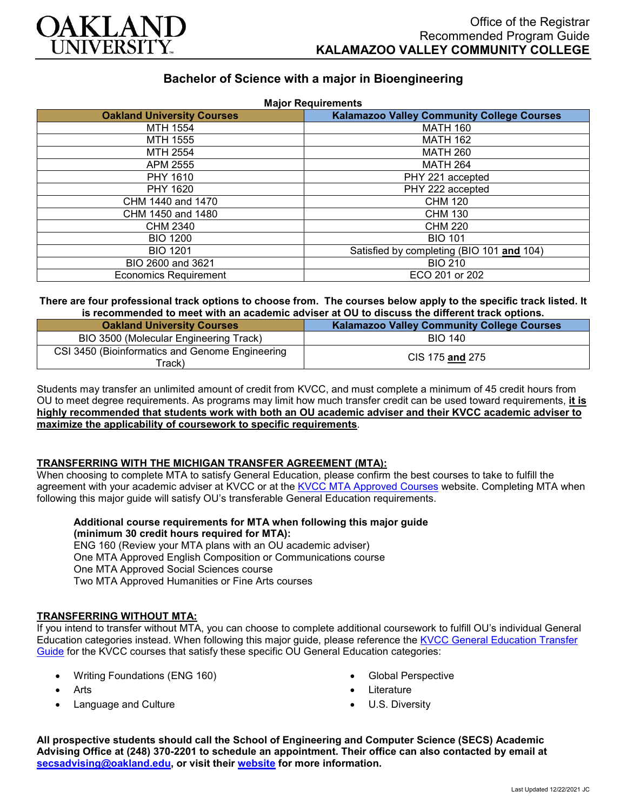

# **Bachelor of Science with a major in Bioengineering**

| <b>Major Requirements</b>         |                                                   |
|-----------------------------------|---------------------------------------------------|
| <b>Oakland University Courses</b> | <b>Kalamazoo Valley Community College Courses</b> |
| MTH 1554                          | <b>MATH 160</b>                                   |
| MTH 1555                          | <b>MATH 162</b>                                   |
| MTH 2554                          | <b>MATH 260</b>                                   |
| APM 2555                          | <b>MATH 264</b>                                   |
| PHY 1610                          | PHY 221 accepted                                  |
| PHY 1620                          | PHY 222 accepted                                  |
| CHM 1440 and 1470                 | <b>CHM 120</b>                                    |
| CHM 1450 and 1480                 | <b>CHM 130</b>                                    |
| CHM 2340                          | <b>CHM 220</b>                                    |
| <b>BIO 1200</b>                   | <b>BIO 101</b>                                    |
| <b>BIO 1201</b>                   | Satisfied by completing (BIO 101 and 104)         |
| BIO 2600 and 3621                 | <b>BIO 210</b>                                    |
| <b>Economics Requirement</b>      | ECO 201 or 202                                    |

#### **There are four professional track options to choose from. The courses below apply to the specific track listed. It is recommended to meet with an academic adviser at OU to discuss the different track options.**

| <b>Oakland University Courses</b>                         | <b>Kalamazoo Valley Community College Courses</b> |
|-----------------------------------------------------------|---------------------------------------------------|
| BIO 3500 (Molecular Engineering Track)                    | <b>BIO 140</b>                                    |
| CSI 3450 (Bioinformatics and Genome Engineering<br>ˈrack) | CIS 175 and 275                                   |

Students may transfer an unlimited amount of credit from KVCC, and must complete a minimum of 45 credit hours from OU to meet degree requirements. As programs may limit how much transfer credit can be used toward requirements, **it is highly recommended that students work with both an OU academic adviser and their KVCC academic adviser to maximize the applicability of coursework to specific requirements**.

## **TRANSFERRING WITH THE MICHIGAN TRANSFER AGREEMENT (MTA):**

When choosing to complete MTA to satisfy General Education, please confirm the best courses to take to fulfill the agreement with your academic adviser at KVCC or at the [KVCC MTA Approved Courses](https://www.kvcc.edu/programs/mta.php) website. Completing MTA when following this major guide will satisfy OU's transferable General Education requirements.

**Additional course requirements for MTA when following this major guide (minimum 30 credit hours required for MTA):**

ENG 160 (Review your MTA plans with an OU academic adviser) One MTA Approved English Composition or Communications course One MTA Approved Social Sciences course Two MTA Approved Humanities or Fine Arts courses

## **TRANSFERRING WITHOUT MTA:**

If you intend to transfer without MTA, you can choose to complete additional coursework to fulfill OU's individual General Education categories instead. When following this major guide, please reference the [KVCC General Education Transfer](https://www.oakland.edu/Assets/Oakland/program-guides/kalamazoo-valley-community-college/university-general-education-requirements/Kalamazoo%20Valley%20Gen%20Ed.pdf)  [Guide](https://www.oakland.edu/Assets/Oakland/program-guides/kalamazoo-valley-community-college/university-general-education-requirements/Kalamazoo%20Valley%20Gen%20Ed.pdf) for the KVCC courses that satisfy these specific OU General Education categories:

- Writing Foundations (ENG 160)
- Arts
- Language and Culture
- Global Perspective
- **Literature**
- U.S. Diversity

**All prospective students should call the School of Engineering and Computer Science (SECS) Academic Advising Office at (248) 370-2201 to schedule an appointment. Their office can also contacted by email at [secsadvising@oakland.edu,](mailto:secsadvising@oakland.edu) or visit their [website](https://wwwp.oakland.edu/secs/advising/) for more information.**